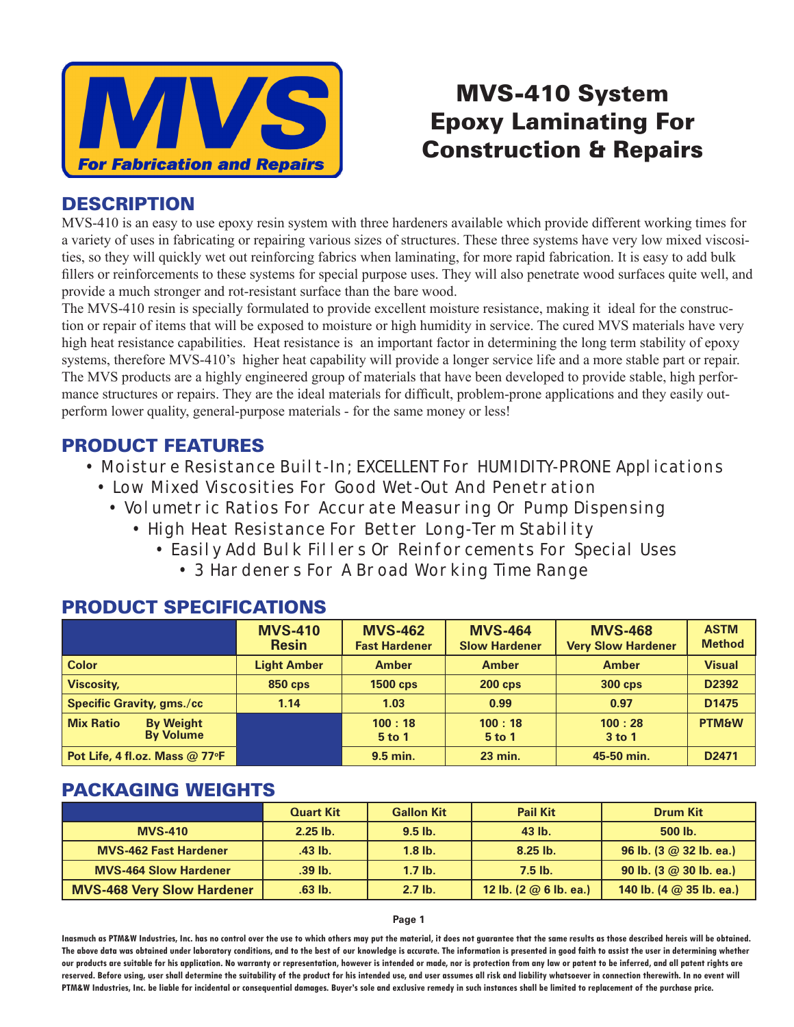

# MVS-410 System Epoxy Laminating For Construction & Repairs

### **DESCRIPTION**

MVS-410 is an easy to use epoxy resin system with three hardeners available which provide different working times for a variety of uses in fabricating or repairing various sizes of structures. These three systems have very low mixed viscosities, so they will quickly wet out reinforcing fabrics when laminating, for more rapid fabrication. It is easy to add bulk fillers or reinforcements to these systems for special purpose uses. They will also penetrate wood surfaces quite well, and provide a much stronger and rot-resistant surface than the bare wood.

The MVS-410 resin is specially formulated to provide excellent moisture resistance, making it ideal for the construction or repair of items that will be exposed to moisture or high humidity in service. The cured MVS materials have very high heat resistance capabilities. Heat resistance is an important factor in determining the long term stability of epoxy systems, therefore MVS-410's higher heat capability will provide a longer service life and a more stable part or repair. The MVS products are a highly engineered group of materials that have been developed to provide stable, high performance structures or repairs. They are the ideal materials for difficult, problem-prone applications and they easily outperform lower quality, general-purpose materials - for the same money or less!

# PRODUCT FEATURES

- Moisture Resistance Built-In; EXCELLENT For HUMIDITY-PRONE Applications
	- Low Mixed Viscosities For Good Wet-Out And Penetration
		- Volumetric Ratios For Accurate Measuring Or Pump Dispensing
			- High Heat Resistance For Better Long-Term Stability
				- Easily Add Bulk Fillers Or Reinforcements For Special Uses
					- 3 Hardeners For A Broad Working Time Range

|                                                          | <b>MVS-410</b><br><b>Resin</b> | <b>MVS-462</b><br><b>Fast Hardener</b> | <b>MVS-464</b><br><b>Slow Hardener</b> | <b>MVS-468</b><br><b>Very Slow Hardener</b> | <b>ASTM</b><br><b>Method</b> |
|----------------------------------------------------------|--------------------------------|----------------------------------------|----------------------------------------|---------------------------------------------|------------------------------|
| <b>Color</b>                                             | <b>Light Amber</b>             | <b>Amber</b>                           | <b>Amber</b>                           | <b>Amber</b>                                | <b>Visual</b>                |
| <b>Viscosity,</b>                                        | <b>850 cps</b>                 | <b>1500 cps</b>                        | $200$ cps                              | <b>300 cps</b>                              | D2392                        |
| <b>Specific Gravity, gms./cc</b>                         | 1.14                           | 1.03                                   | 0.99                                   | 0.97                                        | D <sub>1475</sub>            |
| <b>Mix Ratio</b><br><b>By Weight</b><br><b>By Volume</b> |                                | 100:18<br>$5$ to 1                     | 100:18<br>$5$ to 1                     | 100:28<br>$3$ to 1                          | <b>PTM&amp;W</b>             |
| Pot Life, 4 fl.oz. Mass @ 77 $\textdegree$ F             |                                | 9.5 min.                               | <b>23 min.</b>                         | 45-50 min.                                  | D <sub>2471</sub>            |

# PRODUCT SPECIFICATIONS

# PACKAGING WEIGHTS

|                                   | <b>Quart Kit</b> | <b>Gallon Kit</b> | <b>Pail Kit</b>                | <b>Drum Kit</b>                                     |
|-----------------------------------|------------------|-------------------|--------------------------------|-----------------------------------------------------|
| <b>MVS-410</b>                    | $2.25$ lb.       | $9.5$ lb.         | 43 lb.                         | 500 lb.                                             |
| <b>MVS-462 Fast Hardener</b>      | .43 lb.          | $1.8$ lb.         | $8.25$ lb.                     | 96 lb. $(3 \oslash 32$ lb. ea.)                     |
| <b>MVS-464 Slow Hardener</b>      | $.39$ lb.        | $1.7$ lb.         | $7.5$ lb.                      | 90 lb. $(3 \oslash 30$ lb. ea.)                     |
| <b>MVS-468 Very Slow Hardener</b> | .63 lb.          | $2.7$ lb.         | 12 lb. $(2 \oslash 6$ lb. ea.) | 140 lb. $(4 \text{ } @ 35 \text{ lb.} \text{ ea.})$ |

#### **Page 1**

**Inasmuch as PTM&W Industries, Inc. has no control over the use to which others may put the material, it does not guarantee that the same results as those described hereis will be obtained.**  The above data was obtained under laboratory conditions, and to the best of our knowledge is accurate. The information is presented in good faith to assist the user in determining whether **our products are suitable for his application. No warranty or representation, however is intended or made, nor is protection from any law or patent to be inferred, and all patent rights are**  reserved. Before using, user shall determine the suitability of the product for his intended use, and user assumes all risk and liability whatsoever in connection therewith. In no event will **PTM&W Industries, Inc. be liable for incidental or consequential damages. Buyer's sole and exclusive remedy in such instances shall be limited to replacement of the purchase price.**